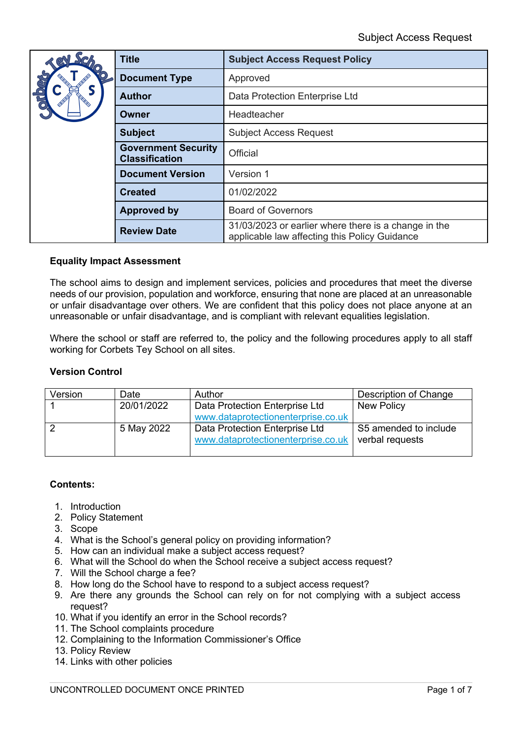|               | <b>Title</b>                                        | <b>Subject Access Request Policy</b>                                                                  |  |
|---------------|-----------------------------------------------------|-------------------------------------------------------------------------------------------------------|--|
| $\frac{1}{2}$ | <b>Document Type</b>                                | Approved                                                                                              |  |
|               | <b>Author</b>                                       | Data Protection Enterprise Ltd                                                                        |  |
|               | Owner                                               | Headteacher                                                                                           |  |
|               | <b>Subject</b>                                      | <b>Subject Access Request</b>                                                                         |  |
|               | <b>Government Security</b><br><b>Classification</b> | Official                                                                                              |  |
|               | <b>Document Version</b>                             | Version 1                                                                                             |  |
|               | <b>Created</b>                                      | 01/02/2022                                                                                            |  |
|               | <b>Approved by</b>                                  | <b>Board of Governors</b>                                                                             |  |
|               | <b>Review Date</b>                                  | 31/03/2023 or earlier where there is a change in the<br>applicable law affecting this Policy Guidance |  |

### **Equality Impact Assessment**

The school aims to design and implement services, policies and procedures that meet the diverse needs of our provision, population and workforce, ensuring that none are placed at an unreasonable or unfair disadvantage over others. We are confident that this policy does not place anyone at an unreasonable or unfair disadvantage, and is compliant with relevant equalities legislation.

Where the school or staff are referred to, the policy and the following procedures apply to all staff working for Corbets Tey School on all sites.

#### **Version Control**

| Version | Date       | Author                                                               | Description of Change                    |
|---------|------------|----------------------------------------------------------------------|------------------------------------------|
|         | 20/01/2022 | Data Protection Enterprise Ltd                                       | New Policy                               |
|         |            | www.dataprotectionenterprise.co.uk                                   |                                          |
|         | 5 May 2022 | Data Protection Enterprise Ltd<br>www.dataprotectionenterprise.co.uk | S5 amended to include<br>verbal requests |

#### **Contents:**

- 1. Introduction
- 2. Policy Statement
- 3. Scope
- 4. What is the School's general policy on providing information?
- 5. How can an individual make a subject access request?
- 6. What will the School do when the School receive a subject access request?
- 7. Will the School charge a fee?
- 8. How long do the School have to respond to a subject access request?
- 9. Are there any grounds the School can rely on for not complying with a subject access request?
- 10. What if you identify an error in the School records?
- 11. The School complaints procedure
- 12. Complaining to the Information Commissioner's Office
- 13. Policy Review
- 14. Links with other policies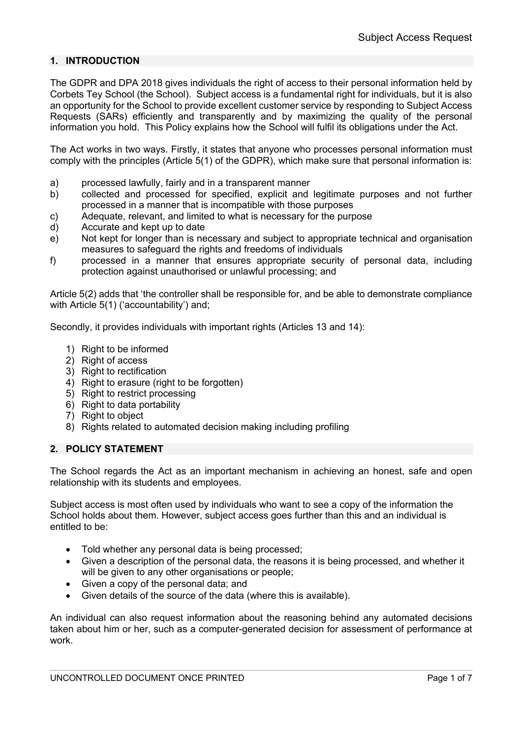# **1. INTRODUCTION**

The GDPR and DPA 2018 gives individuals the right of access to their personal information held by Corbets Tey School (the School). Subject access is a fundamental right for individuals, but it is also an opportunity for the School to provide excellent customer service by responding to Subject Access Requests (SARs) efficiently and transparently and by maximizing the quality of the personal information you hold. This Policy explains how the School will fulfil its obligations under the Act.

The Act works in two ways. Firstly, it states that anyone who processes personal information must comply with the principles (Article 5(1) of the GDPR), which make sure that personal information is:

- a) processed lawfully, fairly and in a transparent manner
- b) collected and processed for specified, explicit and legitimate purposes and not further processed in a manner that is incompatible with those purposes
- c) Adequate, relevant, and limited to what is necessary for the purpose
- d) Accurate and kept up to date
- e) Not kept for longer than is necessary and subject to appropriate technical and organisation measures to safeguard the rights and freedoms of individuals
- f) processed in a manner that ensures appropriate security of personal data, including protection against unauthorised or unlawful processing; and

Article 5(2) adds that 'the controller shall be responsible for, and be able to demonstrate compliance with Article 5(1) ('accountability') and;

Secondly, it provides individuals with important rights (Articles 13 and 14):

- 1) Right to be informed
- 2) Right of access
- 3) Right to rectification
- 4) Right to erasure (right to be forgotten)
- 5) Right to restrict processing
- 6) Right to data portability
- 7) Right to object
- 8) Rights related to automated decision making including profiling

### **2. POLICY STATEMENT**

The School regards the Act as an important mechanism in achieving an honest, safe and open relationship with its students and employees.

Subject access is most often used by individuals who want to see a copy of the information the School holds about them. However, subject access goes further than this and an individual is entitled to be:

- Told whether any personal data is being processed;
- Given a description of the personal data, the reasons it is being processed, and whether it will be given to any other organisations or people;
- Given a copy of the personal data; and
- Given details of the source of the data (where this is available).

An individual can also request information about the reasoning behind any automated decisions taken about him or her, such as a computer-generated decision for assessment of performance at work.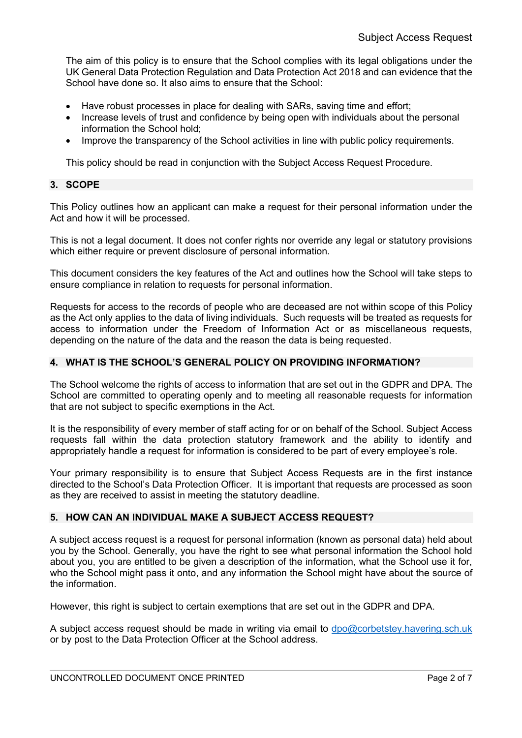The aim of this policy is to ensure that the School complies with its legal obligations under the UK General Data Protection Regulation and Data Protection Act 2018 and can evidence that the School have done so. It also aims to ensure that the School:

- Have robust processes in place for dealing with SARs, saving time and effort;
- Increase levels of trust and confidence by being open with individuals about the personal information the School hold;
- Improve the transparency of the School activities in line with public policy requirements.

This policy should be read in conjunction with the Subject Access Request Procedure.

#### **3. SCOPE**

This Policy outlines how an applicant can make a request for their personal information under the Act and how it will be processed.

This is not a legal document. It does not confer rights nor override any legal or statutory provisions which either require or prevent disclosure of personal information.

This document considers the key features of the Act and outlines how the School will take steps to ensure compliance in relation to requests for personal information.

Requests for access to the records of people who are deceased are not within scope of this Policy as the Act only applies to the data of living individuals. Such requests will be treated as requests for access to information under the Freedom of Information Act or as miscellaneous requests, depending on the nature of the data and the reason the data is being requested.

### **4. WHAT IS THE SCHOOL'S GENERAL POLICY ON PROVIDING INFORMATION?**

The School welcome the rights of access to information that are set out in the GDPR and DPA. The School are committed to operating openly and to meeting all reasonable requests for information that are not subject to specific exemptions in the Act.

It is the responsibility of every member of staff acting for or on behalf of the School. Subject Access requests fall within the data protection statutory framework and the ability to identify and appropriately handle a request for information is considered to be part of every employee's role.

Your primary responsibility is to ensure that Subject Access Requests are in the first instance directed to the School's Data Protection Officer. It is important that requests are processed as soon as they are received to assist in meeting the statutory deadline.

### **5. HOW CAN AN INDIVIDUAL MAKE A SUBJECT ACCESS REQUEST?**

A subject access request is a request for personal information (known as personal data) held about you by the School. Generally, you have the right to see what personal information the School hold about you, you are entitled to be given a description of the information, what the School use it for, who the School might pass it onto, and any information the School might have about the source of the information.

However, this right is subject to certain exemptions that are set out in the GDPR and DPA.

A subject access request should be made in writing via email to dpo@corbetstey.havering.sch.uk or by post to the Data Protection Officer at the School address.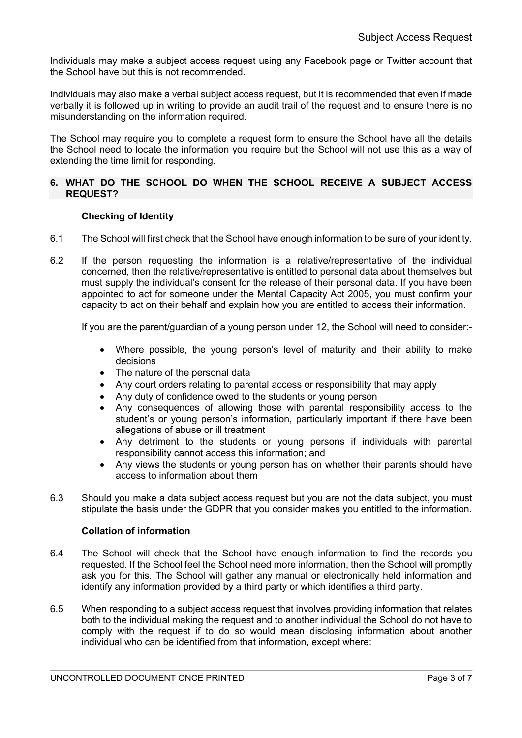Individuals may make a subject access request using any Facebook page or Twitter account that the School have but this is not recommended.

Individuals may also make a verbal subject access request, but it is recommended that even if made verbally it is followed up in writing to provide an audit trail of the request and to ensure there is no misunderstanding on the information required.

The School may require you to complete a request form to ensure the School have all the details the School need to locate the information you require but the School will not use this as a way of extending the time limit for responding.

### **6. WHAT DO THE SCHOOL DO WHEN THE SCHOOL RECEIVE A SUBJECT ACCESS REQUEST?**

### **Checking of Identity**

- 6.1 The School will first check that the School have enough information to be sure of your identity.
- 6.2 If the person requesting the information is a relative/representative of the individual concerned, then the relative/representative is entitled to personal data about themselves but must supply the individual's consent for the release of their personal data. If you have been appointed to act for someone under the Mental Capacity Act 2005, you must confirm your capacity to act on their behalf and explain how you are entitled to access their information.

If you are the parent/guardian of a young person under 12, the School will need to consider:-

- Where possible, the young person's level of maturity and their ability to make decisions
- The nature of the personal data
- Any court orders relating to parental access or responsibility that may apply
- Any duty of confidence owed to the students or young person
- Any consequences of allowing those with parental responsibility access to the student's or young person's information, particularly important if there have been allegations of abuse or ill treatment
- Any detriment to the students or young persons if individuals with parental responsibility cannot access this information; and
- Any views the students or young person has on whether their parents should have access to information about them
- 6.3 Should you make a data subject access request but you are not the data subject, you must stipulate the basis under the GDPR that you consider makes you entitled to the information.

### **Collation of information**

- 6.4 The School will check that the School have enough information to find the records you requested. If the School feel the School need more information, then the School will promptly ask you for this. The School will gather any manual or electronically held information and identify any information provided by a third party or which identifies a third party.
- 6.5 When responding to a subject access request that involves providing information that relates both to the individual making the request and to another individual the School do not have to comply with the request if to do so would mean disclosing information about another individual who can be identified from that information, except where: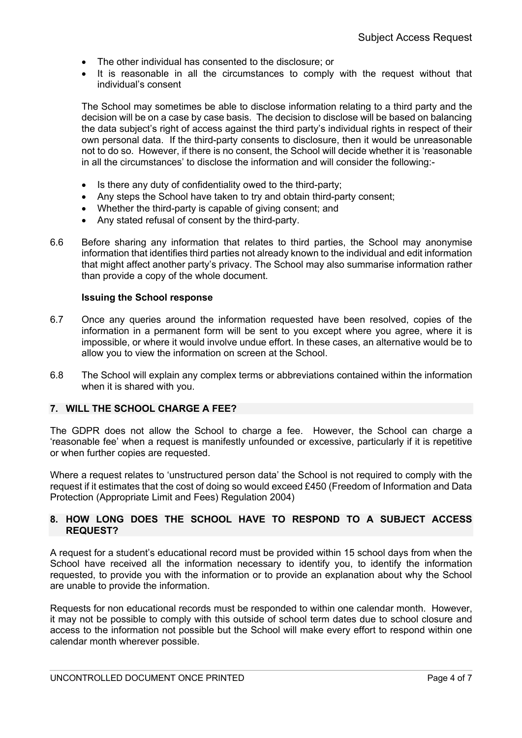- The other individual has consented to the disclosure; or
- It is reasonable in all the circumstances to comply with the request without that individual's consent

The School may sometimes be able to disclose information relating to a third party and the decision will be on a case by case basis. The decision to disclose will be based on balancing the data subject's right of access against the third party's individual rights in respect of their own personal data. If the third-party consents to disclosure, then it would be unreasonable not to do so. However, if there is no consent, the School will decide whether it is 'reasonable in all the circumstances' to disclose the information and will consider the following:-

- Is there any duty of confidentiality owed to the third-party;
- Any steps the School have taken to try and obtain third-party consent;
- Whether the third-party is capable of giving consent; and
- Any stated refusal of consent by the third-party.
- 6.6 Before sharing any information that relates to third parties, the School may anonymise information that identifies third parties not already known to the individual and edit information that might affect another party's privacy. The School may also summarise information rather than provide a copy of the whole document.

#### **Issuing the School response**

- 6.7 Once any queries around the information requested have been resolved, copies of the information in a permanent form will be sent to you except where you agree, where it is impossible, or where it would involve undue effort. In these cases, an alternative would be to allow you to view the information on screen at the School.
- 6.8 The School will explain any complex terms or abbreviations contained within the information when it is shared with you.

# **7. WILL THE SCHOOL CHARGE A FEE?**

The GDPR does not allow the School to charge a fee. However, the School can charge a 'reasonable fee' when a request is manifestly unfounded or excessive, particularly if it is repetitive or when further copies are requested.

Where a request relates to 'unstructured person data' the School is not required to comply with the request if it estimates that the cost of doing so would exceed £450 (Freedom of Information and Data Protection (Appropriate Limit and Fees) Regulation 2004)

#### **8. HOW LONG DOES THE SCHOOL HAVE TO RESPOND TO A SUBJECT ACCESS REQUEST?**

A request for a student's educational record must be provided within 15 school days from when the School have received all the information necessary to identify you, to identify the information requested, to provide you with the information or to provide an explanation about why the School are unable to provide the information.

Requests for non educational records must be responded to within one calendar month. However, it may not be possible to comply with this outside of school term dates due to school closure and access to the information not possible but the School will make every effort to respond within one calendar month wherever possible.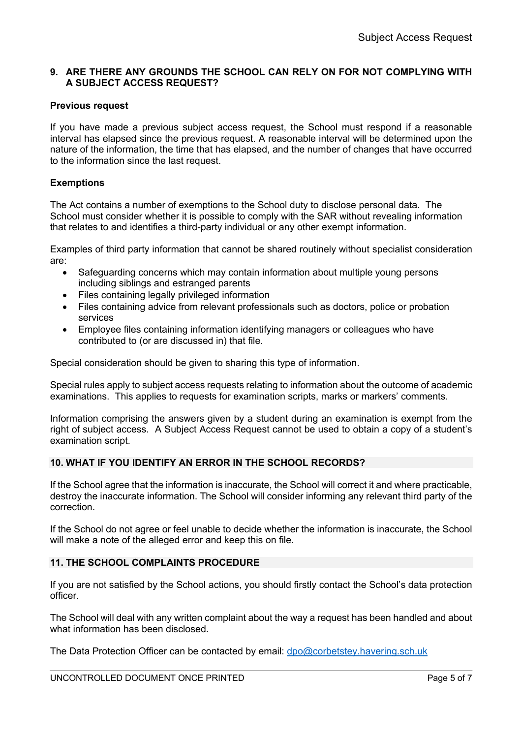# **9. ARE THERE ANY GROUNDS THE SCHOOL CAN RELY ON FOR NOT COMPLYING WITH A SUBJECT ACCESS REQUEST?**

# **Previous request**

If you have made a previous subject access request, the School must respond if a reasonable interval has elapsed since the previous request. A reasonable interval will be determined upon the nature of the information, the time that has elapsed, and the number of changes that have occurred to the information since the last request.

# **Exemptions**

The Act contains a number of exemptions to the School duty to disclose personal data. The School must consider whether it is possible to comply with the SAR without revealing information that relates to and identifies a third-party individual or any other exempt information.

Examples of third party information that cannot be shared routinely without specialist consideration are:

- Safeguarding concerns which may contain information about multiple young persons including siblings and estranged parents
- Files containing legally privileged information
- Files containing advice from relevant professionals such as doctors, police or probation services
- Employee files containing information identifying managers or colleagues who have contributed to (or are discussed in) that file.

Special consideration should be given to sharing this type of information.

Special rules apply to subject access requests relating to information about the outcome of academic examinations. This applies to requests for examination scripts, marks or markers' comments.

Information comprising the answers given by a student during an examination is exempt from the right of subject access. A Subject Access Request cannot be used to obtain a copy of a student's examination script.

# **10. WHAT IF YOU IDENTIFY AN ERROR IN THE SCHOOL RECORDS?**

If the School agree that the information is inaccurate, the School will correct it and where practicable, destroy the inaccurate information. The School will consider informing any relevant third party of the correction.

If the School do not agree or feel unable to decide whether the information is inaccurate, the School will make a note of the alleged error and keep this on file.

### **11. THE SCHOOL COMPLAINTS PROCEDURE**

If you are not satisfied by the School actions, you should firstly contact the School's data protection officer.

The School will deal with any written complaint about the way a request has been handled and about what information has been disclosed.

The Data Protection Officer can be contacted by email: dpo@corbetstey.havering.sch.uk